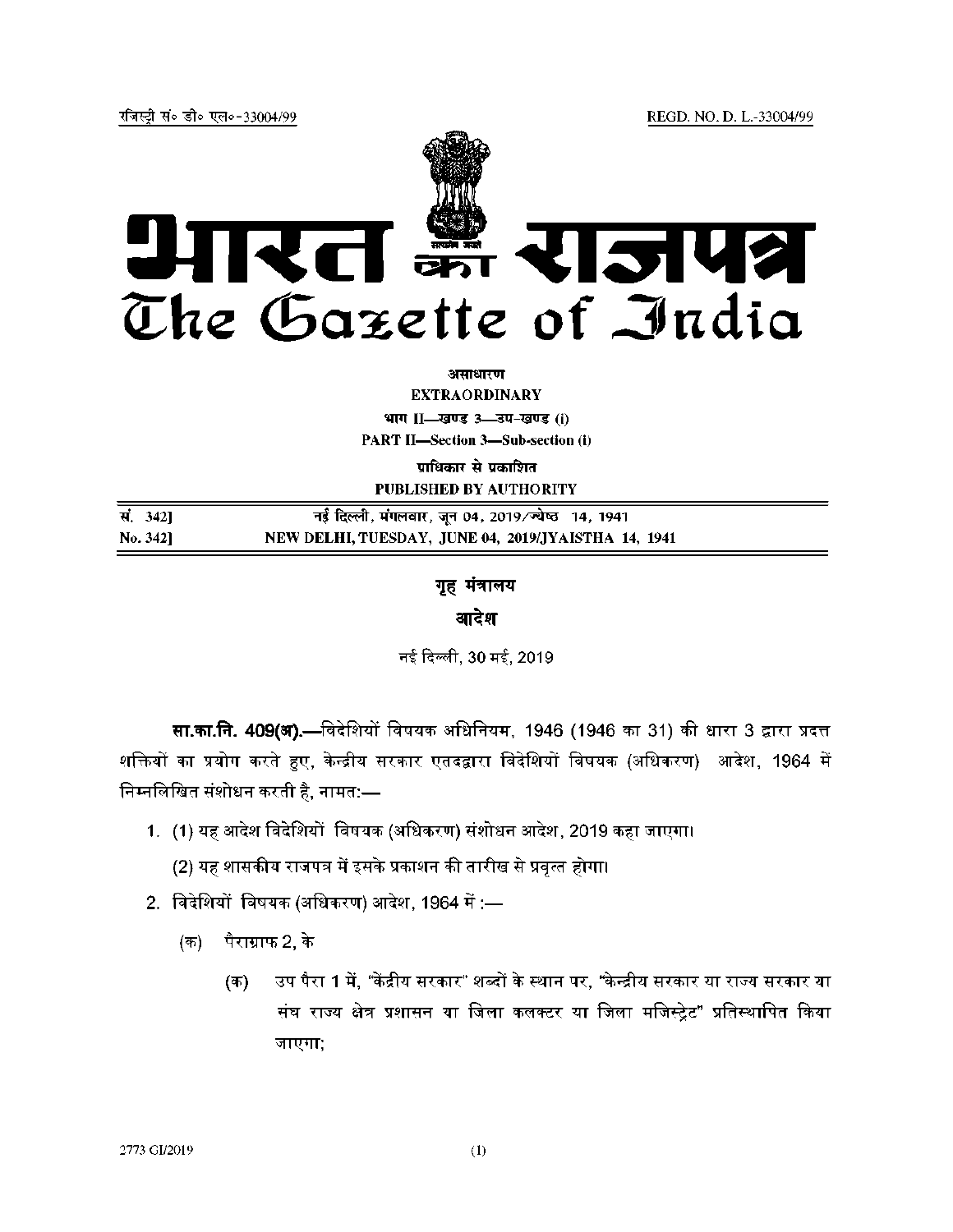REGD. NO. D. L.-33004/99



असाधारण

**EXTRAORDINARY** भाग II-खण्ड 3-उप-खण्ड (i)

**PART II-Section 3-Sub-section (i)** 

प्राधिकार से प्रकाशित **PUBLISHED BY AUTHORITY** 

| सं. 342] | नई दिल्ली, मंगलवार, जून 04, 2019/ज्येष्ठ =14, 1941  |
|----------|-----------------------------------------------------|
| No. 3421 | NEW DELHI, TUESDAY, JUNE 04, 2019/JYAISTHA 14, 1941 |

गृह मंत्रालय

आदेश

नई दिल्ली, 30 मई, 2019

सा.का.नि. 409(अ),—विदेशियों विषयक अधिनियम, 1946 (1946 का 31) की धारा 3 द्वारा प्रदत्त शक्तियों का प्रयोग करते हुए, केन्द्रीय सरकार एतदद्वारा विदेशियों विषयक (अधिकरण) आदेश, 1964 में निम्नलिखित संशोधन करती है, नामत:—

1. (1) यह आदेश विदेशियों विषयक (अधिकरण) संशोधन आदेश, 2019 कहा जाएगा।

(2) यह शासकीय राजपत्र में इसके प्रकाशन की तारीख से प्रवृत्त होगा।

- 2. विदेशियों विषयक (अधिकरण) आदेश, 1964 में :—
	- (क) पैराग्राफ 2, के
		- उप पैरा 1 में. "केंद्रीय सरकार" शब्दों के स्थान पर, "केन्द्रीय सरकार या राज्य सरकार या (क) संघ राज्य क्षेत्र प्रशासन या जिला कलक्टर या जिला मजिस्ट्रेट" प्रतिस्थापित किया जाएगा;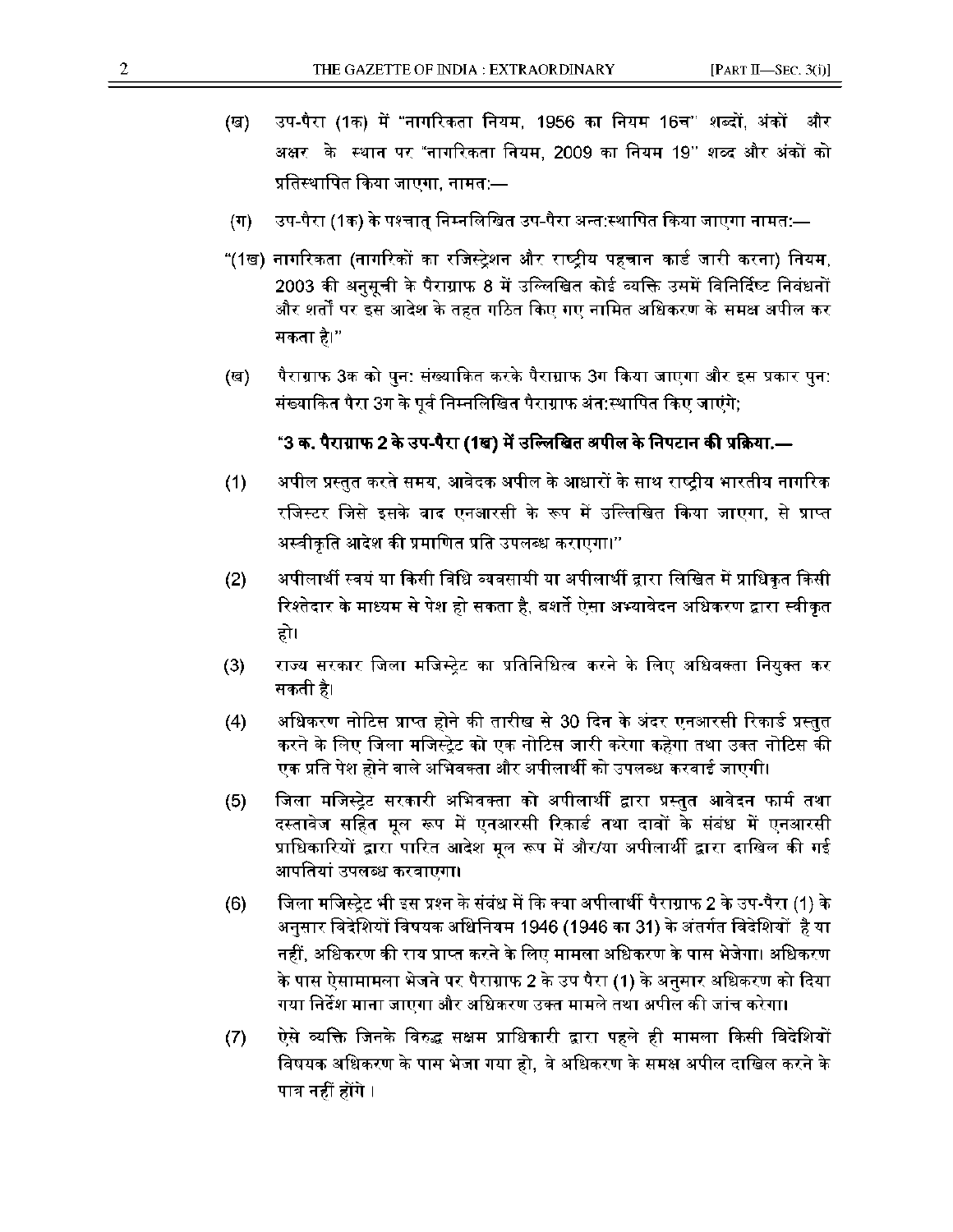- (ख) उप-पैरा (1क) में "नागरिकता नियम, 1956 का नियम 16च" शब्दों, अंकों और अक्षर के स्थान पर "नागरिकता नियम, 2009 का नियम 19" शब्द और अंकों को प्रतिस्थापित किया जाएगा, नामत:—
- (ग) उप-पैरा (1क) के पश्चात् निम्नलिखित उप-पैरा अन्त:स्थापित किया जाएगा नामत:—
- "(1ख) नागरिकता (नागरिकों का रजिस्ट्रेशन और राष्ट्रीय पहचान कार्ड जारी करना) नियम, 2003 की अनुसूची के पैराग्राफ 8 में उल्लिखित कोई व्यक्ति उसमें विनिर्दिष्ट निवंधनों और शर्तों पर इस आदेश के तहत गठित किए गए नामित अधिकरण के समक्ष अपील कर सकता है।"
- (ख) पैराग्राफ 3क को पुन: संख्याकित करके पैराग्राफ 3ग किया जाएगा और इस प्रकार पुन: संख्याकित पैरा 3ग के पूर्व निम्नलिखित पैराग्राफ अंत:स्थापित किए जाएंगे;

## $^{\circ}$ 3 क. पैराग्राफ 2 के उप-पैरा (1ख) में उल्लिखित अपील के निपटान की प्रक्रिया.—

- (1) अपील प्रस्तुत करते समय, आवेदक अपील के आधारों के साथ राष्ट्रीय भारतीय नागरिक रजिस्टर जिसे इसके वाद एनआरसी के रूप में उल्लिखित किया जाएगा, से प्राप्त अस्वीकृति आदेश की प्रमाणित प्रति उपलब्ध कराएगा।"
- (2) अपीलार्थी स्वयं या किसी विधि व्यवसायी या अपीलार्थी द्वारा लिखित में प्राधिकृत किसी रिश्तेदार के माध्यम से पेश हो सकता है, बशर्ते ऐसा अभ्यावेदन अधिकरण द्वारा स्वीकृत हो।
- (3) राज्य सरकार जिला मजिस्ट्रेट का प्रतिनिधित्व करने के लिए अधिवक्ता नियुक्त कर सकती है।
- (4) arधिकरण नोटिस प्राप्त होने की तारीख से 30 दिन के अंदर एनआरसी रिकार्ड प्रस्तुत करने के लिए जिला मजिस्ट्रेट को एक नोटिस जारी करेगा कहेगा तथा उक्त नोटिस की <u>ए</u>क प्रति पेश होने वाले अभिवक्ता और अपीलार्थी को उपलब्ध करवाई जाएगी।
- (5) जिला मजिस्ट्रेट सरकारी अभिवक्ता को अपीलार्थी द्वारा प्रस्तुत आवेदन फार्म तथा दस्तावेज सहित मूल रूप में एनआरसी रिकार्ड तथा दावों के संबंध में एनआरसी प्राधिकारियों द्वारा पारित आदेश मूल रूप में और/या अपीलार्थी द्वारा दाखिल की गई आपतियां उपलब्ध करवाएगा।
- (6) **किला मजिस्ट्रेट भी इस प्रश्न के संबंध में कि** क्या अपीलार्थी पैराग्राफ 2 के उप-पैरा (1) के अनुसार विदेशियों विषयक अधिनियम 1946 (1946 का 31) के अंतर्गत विदेशियों है या नहीं, अधिकरण की राय प्राप्त करने के लिए मामला अधिकरण के पास भेजेगा। अधिकरण के पास ऐसामामला भेजने पर पैराग्राफ 2 के उप पैरा (1) के अनुसार अधिकरण को दिया गया निर्देश माना जाएगा और अधिकरण उक्त मामले तथा अपील की जांच करेगा<mark>।</mark>
- ऐसे व्यक्ति जिनके विरुद्ध सक्षम प्राधिकारी द्वारा पहले ही मामला किसी विदेशियों  $(7)$ विषयक अधिकरण के पास भेजा गया हो, वे अधिकरण के समक्ष अपील दाखिल करने के पात्र नहीं होंगे ।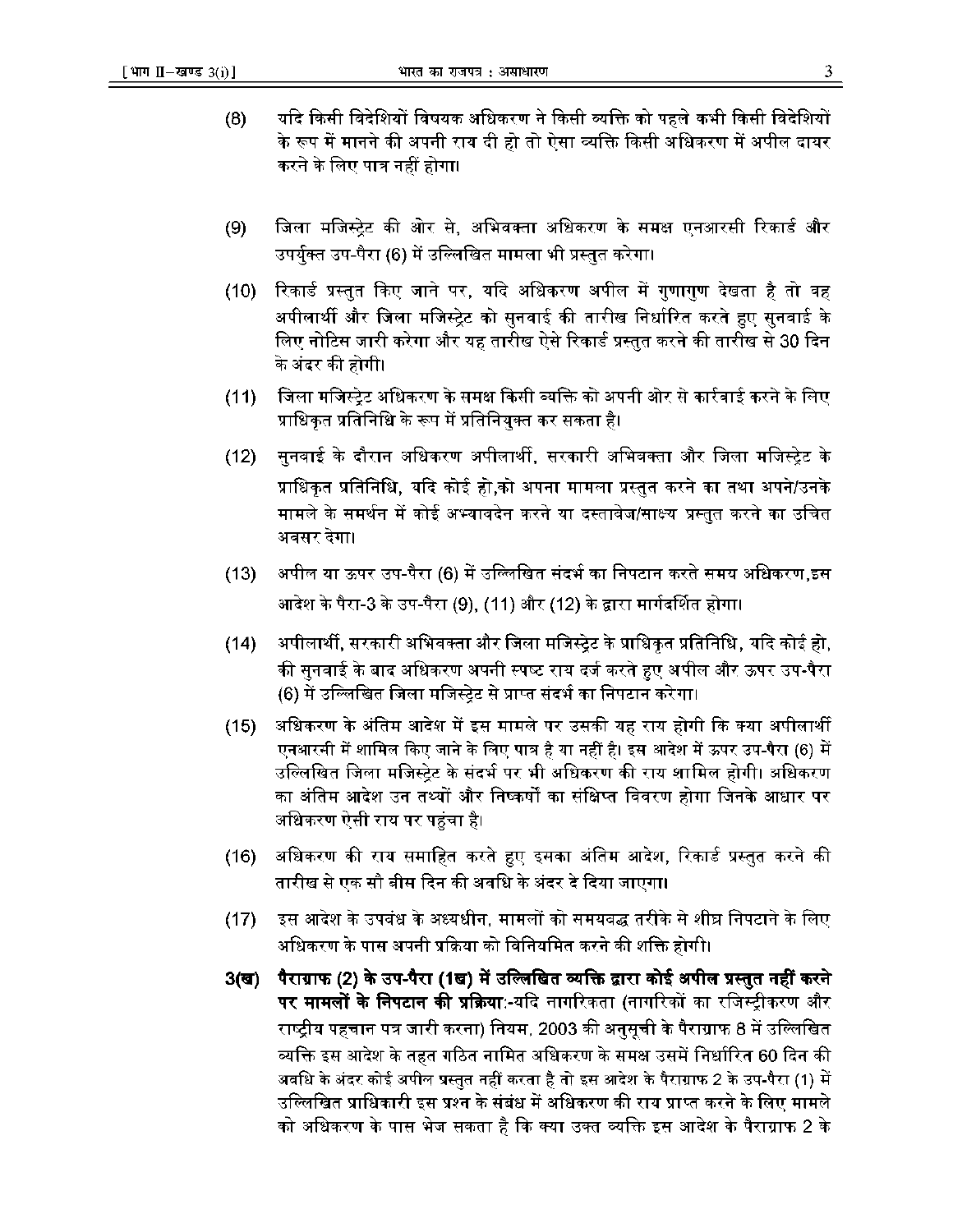- $(8)$ यदि किसी विदेशियों विषयक अधिकरण ने किसी व्यक्ति को पहले कभी किसी विदेशियों के रूप में मानने की अपनी राय दी हो तो ऐसा व्यक्ति किसी अधिकरण में अपील दायर करने के लिए पात्र नहीं होगा।
- जिला मजिस्ट्रेट की ओर से, अभिवक्ता अधिकरण के समक्ष एनआरसी रिकार्ड और  $(9)$ उपर्युक्त उप-पैरा (6) में उल्लिखित मामला भी प्रस्तुत करेगा।
- रिकार्ड प्रस्तुत किए जाने पर, यदि अधिकरण अपील में गुणागुण देखता है तो वह  $(10)$ अपीलार्थी और जिला मजिस्ट्रेट को सुनवाई की तारीख निर्धारित करते हुए सुनवाई के लिए नोटिस जारी करेगा और यह तारीख ऐसे रिकार्ड प्रस्तुत करने की तारीख से 30 दिन के अंदर की होगी।
- जिला मजिस्टेट अधिकरण के समक्ष किसी व्यक्ति को अपनी ओर से कार्रवाई करने के लिए  $(11)$ प्राधिकृत प्रतिनिधि के रूप में प्रतिनियुक्त कर सकता है।
- सुनवाई के दौरान अधिकरण अपीलार्थी, सरकारी अभिवक्ता और जिला मजिस्ट्रेट के  $(12)$ प्राधिकृत प्रतिनिधि, यदि कोई हो,को अपना मामला प्रस्तुत करने का तथा अपने/उनके मामले के समर्थन में कोई अभ्यावदेन करने या दस्तावेज/साक्ष्य प्रस्तुत करने का उचित अवसर देगा।
- अपील या ऊपर उप-पैरा (6) में उल्लिखित संदर्भ का निपटान करते समय अधिकरण,इस  $(13)$ आदेश के पैरा-3 के उप-पैरा (9), (11) और (12) के द्वारा मार्गदर्शित होगा।
- $(14)$ अपीलार्थी, सरकारी अभिवक्ता और जिला मजिस्ट्रेट के प्राधिकृत प्रतिनिधि, यदि कोई हो, की सुनवाई के बाद अधिकरण अपनी स्पष्ट राय दर्ज करते हुए अपील और ऊपर उप-पैरा (6) में उल्लिखित जिला मजिस्ट्रेट से प्राप्त संदर्भ का निपटान करेगा।
- अधिकरण के अंतिम आदेश में इस मामले पर उसकी यह राय होगी कि क्या अपीलार्थी  $(15)$ एनआरसी में शामिल किए जाने के लिए पात्र है या नहीं है। इस आदेश में ऊपर उप-पैरा (6) में उल्लिखित जिला मजिस्टेट के संदर्भ पर भी अधिकरण की राय शामिल होगी। अधिकरण का अंतिम आदेश उन तथ्यों और निष्कर्षों का संक्षिप्त विवरण होगा जिनके आधार पर अधिकरण ऐसी राय पर पहुंचा है।
- अधिकरण की राय समाहित करते हुए इसका अंतिम आदेश, रिकार्ड प्रस्तुत करने की  $(16)$ तारीख से एक सौ बीस दिन की अवधि के अंदर दे दिया जाएगा।
- इस आदेश के उपवंध के अध्यधीन, मामलों को समयवद्ध तरीके से शीघ्र निपटाने के लिए  $(17)$ अधिकरण के पास अपनी प्रक्रिया को विनियमित करने की शक्ति होगी।
- पैराग्राफ (2) के उप-पैरा (1ख) में उल्लिखित व्यक्ति द्वारा कोई अपील प्रस्तुत नहीं करने  $3<sub>(3)</sub>$ **पर मामलों के निपटान की प्रक्रिया:**-यदि नागरिकता (नागरिकों का रजिस्ट्रीकरण और राष्ट्रीय पहचान पत्र जारी करना) नियम, 2003 की अनुसूची के पैराग्राफ 8 में उल्लिखित व्यक्ति इस आदेश के तहत गठित नामित अधिकरण के समक्ष उसमें निर्धारित 60 दिन की अवधि के अंदर कोई अपील प्रस्तुत नहीं करता है तो इस आदेश के पैराग्राफ 2 के उप-पैरा (1) में उल्लिखित प्राधिकारी इस प्रश्न के संबंध में अधिकरण की राय प्राप्त करने के लिए मामले को अधिकरण के पास भेज सकता है कि क्या उक्त व्यक्ति इस आदेश के पैराग्राफ 2 के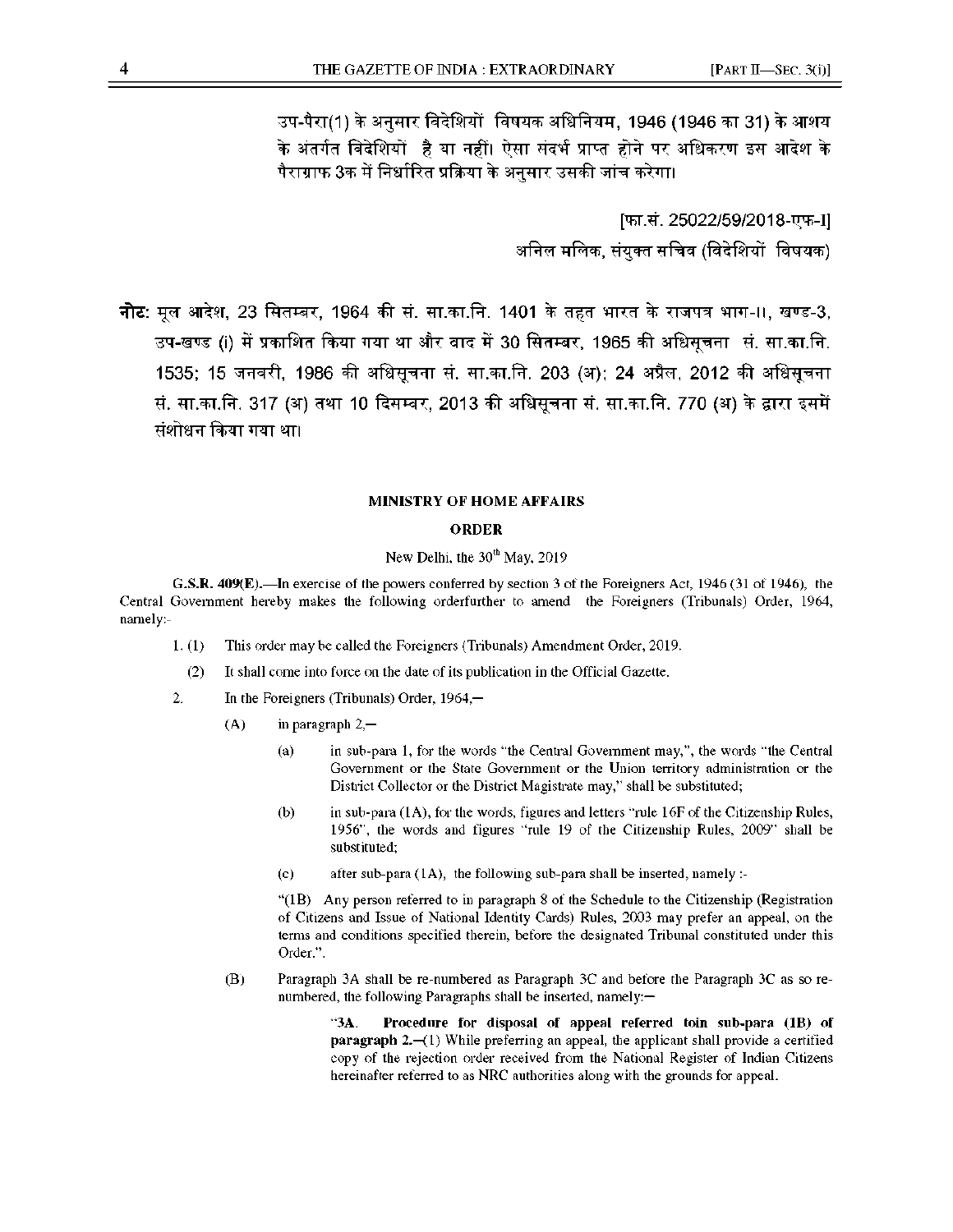उप-पैरा(1) के अनुसार विदेशियों विषयक अधिनियम, 1946 (1946 का 31) के आशय के अंतर्गत विदेशियों है या नहीं। ऐसा संदर्भ प्राप्त होने पर अधिकरण इस आदेश के पैराग्राफ 3क में निर्धारित प्रक्रिया के अनुसार उसकी जांच करेगा।

> [फा.सं. 25022/59/2018-एफ-I] अनिल मलिक, संयुक्त सचिव (विदेशियों विषयक)

नोट: मूल आदेश, 23 सितम्बर, 1964 की सं. सा.का.नि. 1401 के तहत भारत के राजपत्र भाग-II, खण्ड-3, उप-खण्ड (i) में प्रकाशित किया गया था और वाद में 30 सितम्बर, 1965 की अधिसूचना सं. सा.का.नि. 1535; 15 जनवरी, 1986 की अधिसुचना सं. सा.का.नि. 203 (अ); 24 अप्रैल, 2012 की अधिसुचना सं. सा.का.नि. 317 (अ) तथा 10 दिसम्बर, 2013 की अधिसूचना सं. सा.का.नि. 770 (अ) के द्वारा इसमें संशोधन किया गया था।

## **MINISTRY OF HOME AFFAIRS**

## **ORDER**

## New Delhi, the  $30<sup>th</sup>$  May, 2019

**G.S.R. 409(E).**—In exercise of the powers conferred by section 3 of the Foreigners Act, 1946 (31 of 1946), the Central Government hereby makes the following orderfurther to amend the Foreigners (Tribunals) Order, 1964, namely :-

- 1. (1) This order may be called the Foreigners (Tribunals) Amendment Order, 2019.
	- (2) It shall come into force on the date of its publication in the Official Gazette.
- 2. In the Foreigners (Tribunals) Order, 1964,—
	- (A) in paragraph  $2,$ 
		- (a) in sub-para 1, for the words "the Central Government may,", the words "the Central Government or the State Government or the Union territory administration or the District Collector or the District Magistrate may," shall be substituted;
		- (b) in sub-para (1A), for the words, figures and letters "rule 16F of the Citizenship Rules, 1956", the words and figures "rule 19 of the Citizenship Rules, 2009" shall be substituted;
		- (c) after sub-para (1A), the following sub-para shall be inserted, namely :-

"(1B) Any person referred to in paragraph 8 of the Schedule to the Citizenship (Registration of Citizens and Issue of National Identity Cards) Rules, 2003 may prefer an appeal, on the terms and conditions specified therein, before the designated Tribunal constituted under this Order.".

(B) Paragraph 3A shall be re-numbered as Paragraph 3C and before the Paragraph 3C as so renumbered, the following Paragraphs shall be inserted, namely:—

> "**3A**. **Procedure for disposal of appeal referred toin sub-para (1B) of paragraph 2.—**(1) While preferring an appeal, the applicant shall provide a certified copy of the rejection order received from the National Register of Indian Citizens hereinafter referred to as NRC authorities along with the grounds for appeal.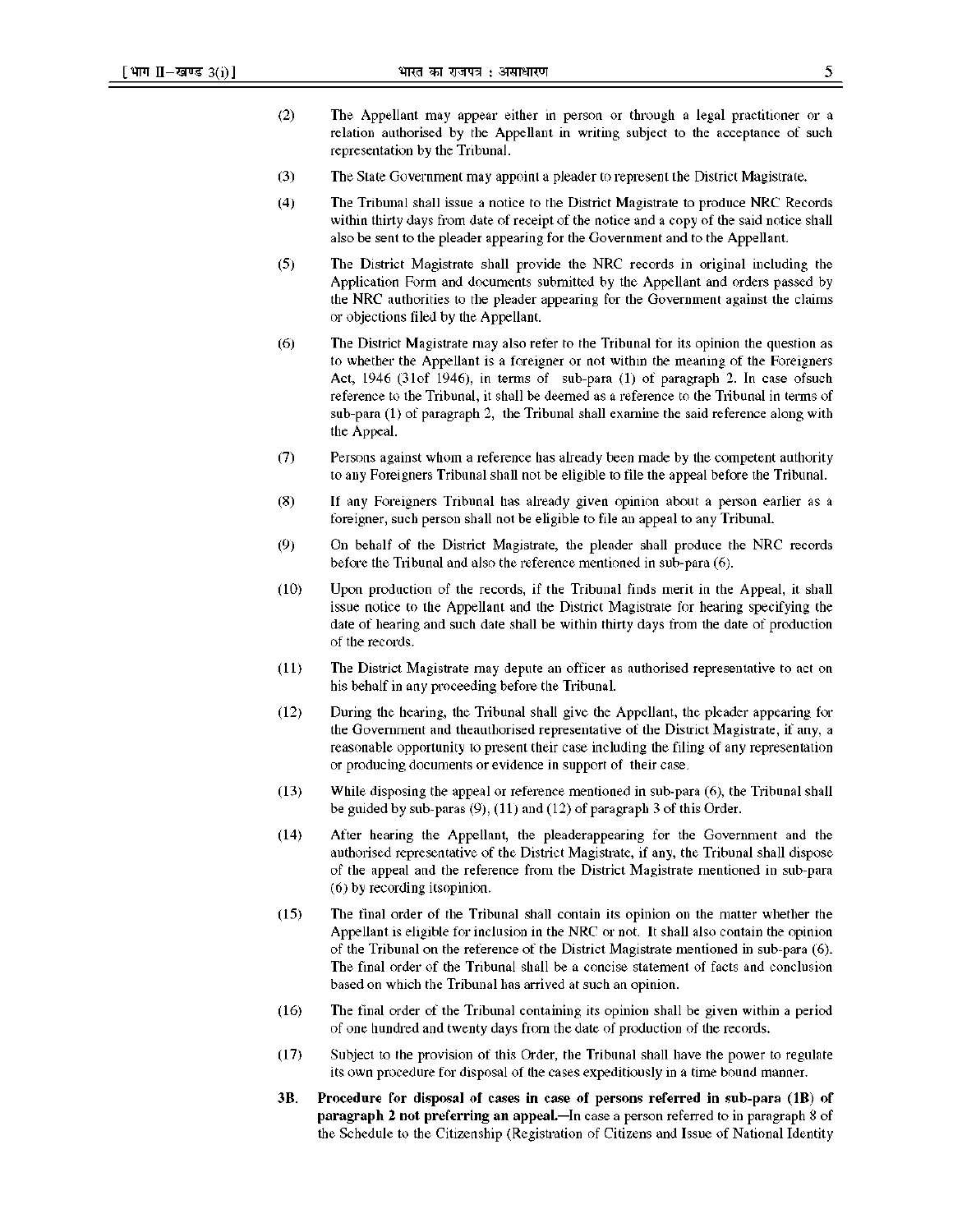- (2) The Appellant may appear either in person or through a legal practitioner or a relation authorised by the Appellant in writing subject to the acceptance of such representation by the Tribunal.
- (3) The State Government may appoint a pleader to represent the District Magistrate.
- (4) The Tribunal shall issue a notice to the District Magistrate to produce NRC Records within thirty days from date of receipt of the notice and a copy of the said notice shall also be sent to the pleader appearing for the Government and to the Appellant.
- (5) The District Magistrate shall provide the NRC records in original including the Application Form and documents submitted by the Appellant and orders passed by the NRC authorities to the pleader appearing for the Government against the claims or objections filed by the Appellant.
- (6) The District Magistrate may also refer to the Tribunal for its opinion the question as to whether the Appellant is a foreigner or not within the meaning of the Foreigners Act, 1946 (31of 1946), in terms of sub-para (1) of paragraph 2. In case ofsuch reference to the Tribunal, it shall be deemed as a reference to the Tribunal in terms of sub-para (1) of paragraph 2, the Tribunal shall examine the said reference along with the Appeal.
- (7) Persons against whom a reference has already been made by the competent authority to any Foreigners Tribunal shall not be eligible to file the appeal before the Tribunal.
- (8) If any Foreigners Tribunal has already given opinion about a person earlier as a foreigner, such person shall not be eligible to file an appeal to any Tribunal.
- (9) On behalf of the District Magistrate, the pleader shall produce the NRC records before the Tribunal and also the reference mentioned in sub-para (6).
- (10) Upon production of the records, if the Tribunal finds merit in the Appeal, it shall issue notice to the Appellant and the District Magistrate for hearing specifying the date of hearing and such date shall be within thirty days from the date of production of the records.
- (11) The District Magistrate may depute an officer as authorised representative to act on his behalf in any proceeding before the Tribunal.
- (12) During the hearing, the Tribunal shall give the Appellant, the pleader appearing for the Government and theauthorised representative of the District Magistrate, if any, a reasonable opportunity to present their case including the filing of any representation or producing documents or evidence in support of their case.
- (13) While disposing the appeal or reference mentioned in sub-para (6), the Tribunal shall be guided by sub-paras  $(9)$ ,  $(11)$  and  $(12)$  of paragraph 3 of this Order.
- (14) After hearing the Appellant, the pleaderappearing for the Government and the authorised representative of the District Magistrate, if any, the Tribunal shall dispose of the appeal and the reference from the District Magistrate mentioned in sub-para (6) by recording itsopinion.
- (15) The final order of the Tribunal shall contain its opinion on the matter whether the Appellant is eligible for inclusion in the NRC or not. It shall also contain the opinion of the Tribunal on the reference of the District Magistrate mentioned in sub-para (6). The final order of the Tribunal shall be a concise statement of facts and conclusion based on which the Tribunal has arrived at such an opinion.
- (16) The final order of the Tribunal containing its opinion shall be given within a period of one hundred and twenty days from the date of production of the records.
- (17) Subject to the provision of this Order, the Tribunal shall have the power to regulate its own procedure for disposal of the cases expeditiously in a time bound manner.
- **3B**. **Procedure for disposal of cases in case of persons referred in sub-para (1B) of paragraph 2 not preferring an appeal.** In case a person referred to in paragraph 8 of the Schedule to the Citizenship (Registration of Citizens and Issue of National Identity